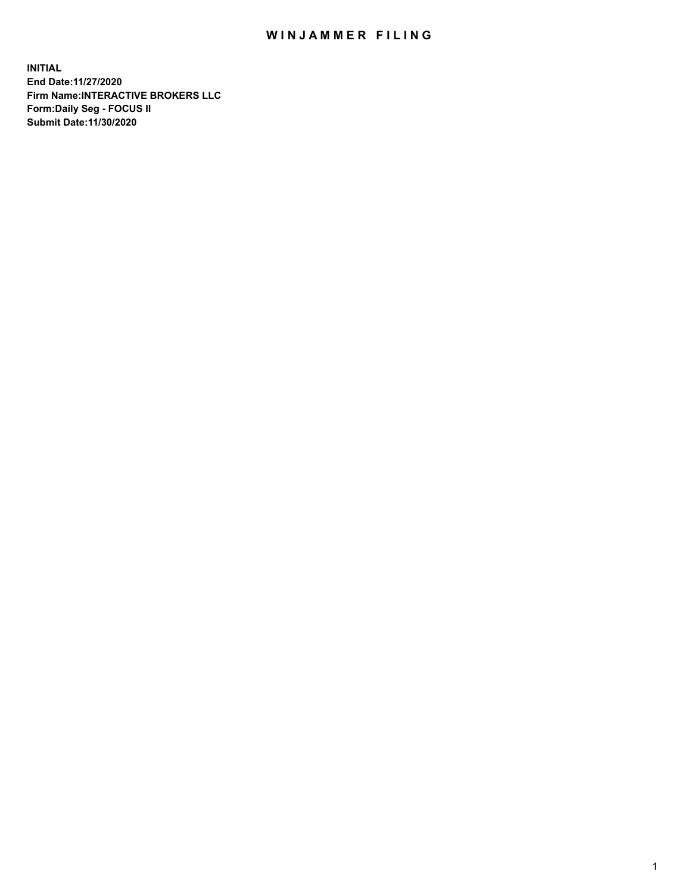## WIN JAMMER FILING

**INITIAL End Date:11/27/2020 Firm Name:INTERACTIVE BROKERS LLC Form:Daily Seg - FOCUS II Submit Date:11/30/2020**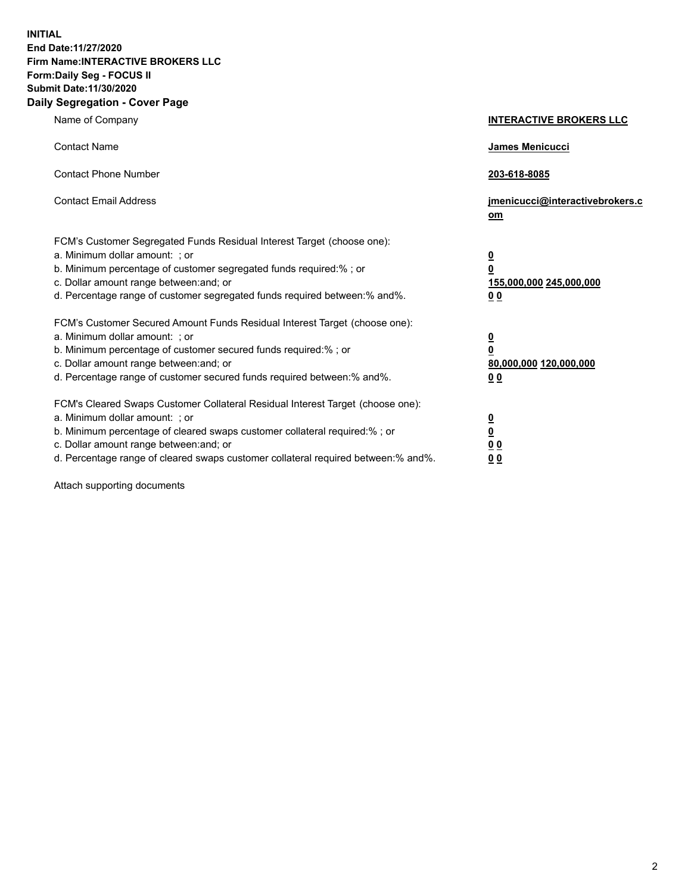**INITIAL End Date:11/27/2020 Firm Name:INTERACTIVE BROKERS LLC Form:Daily Seg - FOCUS II Submit Date:11/30/2020 Daily Segregation - Cover Page**

| Name of Company                                                                                                                                                                                                                                                                                                                | <b>INTERACTIVE BROKERS LLC</b>                                                         |
|--------------------------------------------------------------------------------------------------------------------------------------------------------------------------------------------------------------------------------------------------------------------------------------------------------------------------------|----------------------------------------------------------------------------------------|
| <b>Contact Name</b>                                                                                                                                                                                                                                                                                                            | James Menicucci                                                                        |
| <b>Contact Phone Number</b>                                                                                                                                                                                                                                                                                                    | 203-618-8085                                                                           |
| <b>Contact Email Address</b>                                                                                                                                                                                                                                                                                                   | jmenicucci@interactivebrokers.c<br>$om$                                                |
| FCM's Customer Segregated Funds Residual Interest Target (choose one):<br>a. Minimum dollar amount: ; or<br>b. Minimum percentage of customer segregated funds required:% ; or<br>c. Dollar amount range between: and; or<br>d. Percentage range of customer segregated funds required between:% and%.                         | $\overline{\mathbf{0}}$<br>$\overline{\mathbf{0}}$<br>155,000,000 245,000,000<br>00    |
| FCM's Customer Secured Amount Funds Residual Interest Target (choose one):<br>a. Minimum dollar amount: ; or<br>b. Minimum percentage of customer secured funds required:%; or<br>c. Dollar amount range between: and; or<br>d. Percentage range of customer secured funds required between:% and%.                            | $\overline{\mathbf{0}}$<br>$\pmb{0}$<br>80,000,000 120,000,000<br>0 <sub>0</sub>       |
| FCM's Cleared Swaps Customer Collateral Residual Interest Target (choose one):<br>a. Minimum dollar amount: ; or<br>b. Minimum percentage of cleared swaps customer collateral required:% ; or<br>c. Dollar amount range between: and; or<br>d. Percentage range of cleared swaps customer collateral required between:% and%. | $\overline{\mathbf{0}}$<br>$\overline{\mathbf{0}}$<br>0 <sub>0</sub><br>0 <sub>0</sub> |

Attach supporting documents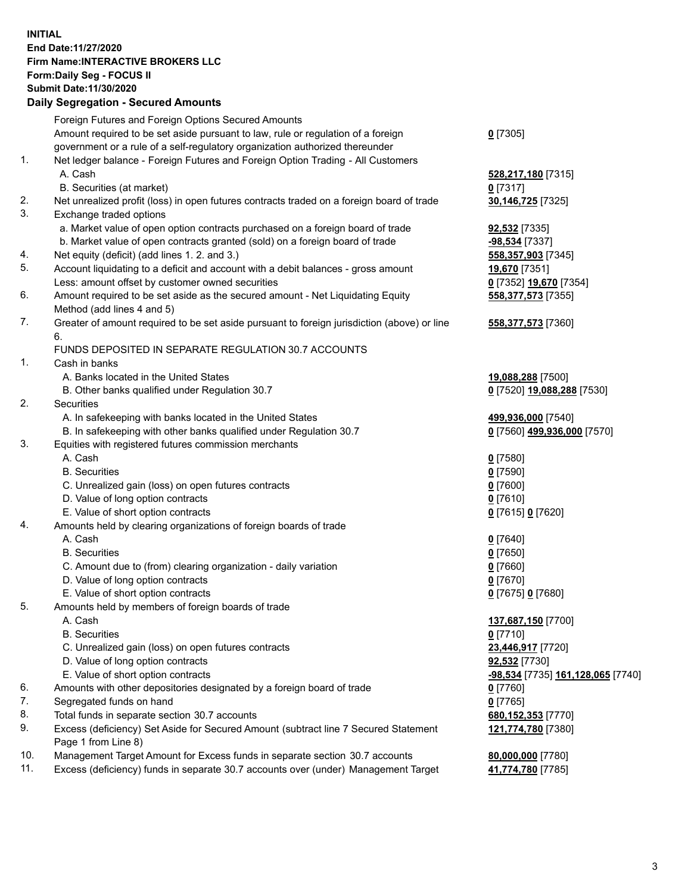**INITIAL End Date:11/27/2020 Firm Name:INTERACTIVE BROKERS LLC Form:Daily Seg - FOCUS II Submit Date:11/30/2020 Daily Segregation - Secured Amounts**

|                | Pany Ocgi cgation - Occarca Anioante                                                        |                                          |
|----------------|---------------------------------------------------------------------------------------------|------------------------------------------|
|                | Foreign Futures and Foreign Options Secured Amounts                                         |                                          |
|                | Amount required to be set aside pursuant to law, rule or regulation of a foreign            | $0$ [7305]                               |
|                | government or a rule of a self-regulatory organization authorized thereunder                |                                          |
| 1.             | Net ledger balance - Foreign Futures and Foreign Option Trading - All Customers             |                                          |
|                | A. Cash                                                                                     | 528,217,180 [7315]                       |
|                | B. Securities (at market)                                                                   | $0$ [7317]                               |
| 2.             | Net unrealized profit (loss) in open futures contracts traded on a foreign board of trade   | 30,146,725 [7325]                        |
| 3.             | Exchange traded options                                                                     |                                          |
|                | a. Market value of open option contracts purchased on a foreign board of trade              | <b>92,532</b> [7335]                     |
|                | b. Market value of open contracts granted (sold) on a foreign board of trade                | -98,534 [7337]                           |
| 4.             | Net equity (deficit) (add lines 1. 2. and 3.)                                               | 558,357,903 [7345]                       |
| 5.             | Account liquidating to a deficit and account with a debit balances - gross amount           | 19,670 [7351]                            |
|                | Less: amount offset by customer owned securities                                            | 0 [7352] 19,670 [7354]                   |
| 6.             | Amount required to be set aside as the secured amount - Net Liquidating Equity              | 558,377,573 [7355]                       |
|                | Method (add lines 4 and 5)                                                                  |                                          |
| 7.             | Greater of amount required to be set aside pursuant to foreign jurisdiction (above) or line | 558,377,573 [7360]                       |
|                | 6.                                                                                          |                                          |
|                | FUNDS DEPOSITED IN SEPARATE REGULATION 30.7 ACCOUNTS                                        |                                          |
| $\mathbf{1}$ . | Cash in banks                                                                               |                                          |
|                | A. Banks located in the United States                                                       | 19,088,288 [7500]                        |
|                | B. Other banks qualified under Regulation 30.7                                              | 0 [7520] 19,088,288 [7530]               |
| 2.             | Securities                                                                                  |                                          |
|                | A. In safekeeping with banks located in the United States                                   | 499,936,000 [7540]                       |
|                | B. In safekeeping with other banks qualified under Regulation 30.7                          | 0 [7560] 499,936,000 [7570]              |
| 3.             | Equities with registered futures commission merchants                                       |                                          |
|                | A. Cash                                                                                     | $0$ [7580]                               |
|                | <b>B.</b> Securities                                                                        | $0$ [7590]                               |
|                | C. Unrealized gain (loss) on open futures contracts                                         | $0$ [7600]                               |
|                | D. Value of long option contracts                                                           | $0$ [7610]                               |
|                | E. Value of short option contracts                                                          | 0 [7615] 0 [7620]                        |
| 4.             | Amounts held by clearing organizations of foreign boards of trade                           |                                          |
|                | A. Cash                                                                                     | $0$ [7640]                               |
|                | <b>B.</b> Securities                                                                        | $0$ [7650]                               |
|                | C. Amount due to (from) clearing organization - daily variation                             | $0$ [7660]                               |
|                | D. Value of long option contracts                                                           | $0$ [7670]                               |
|                | E. Value of short option contracts                                                          | 0 [7675] 0 [7680]                        |
| 5.             | Amounts held by members of foreign boards of trade                                          |                                          |
|                | A. Cash                                                                                     | 137,687,150 [7700]                       |
|                | <b>B.</b> Securities                                                                        | $0$ [7710]                               |
|                | C. Unrealized gain (loss) on open futures contracts                                         | 23,446,917 [7720]                        |
|                | D. Value of long option contracts                                                           | 92,532 [7730]                            |
|                | E. Value of short option contracts                                                          | <u>-98,534</u> [7735] 161,128,065 [7740] |
| 6.             | Amounts with other depositories designated by a foreign board of trade                      | 0 [7760]                                 |
| 7.             | Segregated funds on hand                                                                    | $0$ [7765]                               |
| 8.             | Total funds in separate section 30.7 accounts                                               | 680,152,353 [7770]                       |
| 9.             | Excess (deficiency) Set Aside for Secured Amount (subtract line 7 Secured Statement         | 121,774,780 [7380]                       |
|                | Page 1 from Line 8)                                                                         |                                          |
| 10.            | Management Target Amount for Excess funds in separate section 30.7 accounts                 | 80,000,000 [7780]                        |
| 11.            | Excess (deficiency) funds in separate 30.7 accounts over (under) Management Target          | 41,774,780 [7785]                        |
|                |                                                                                             |                                          |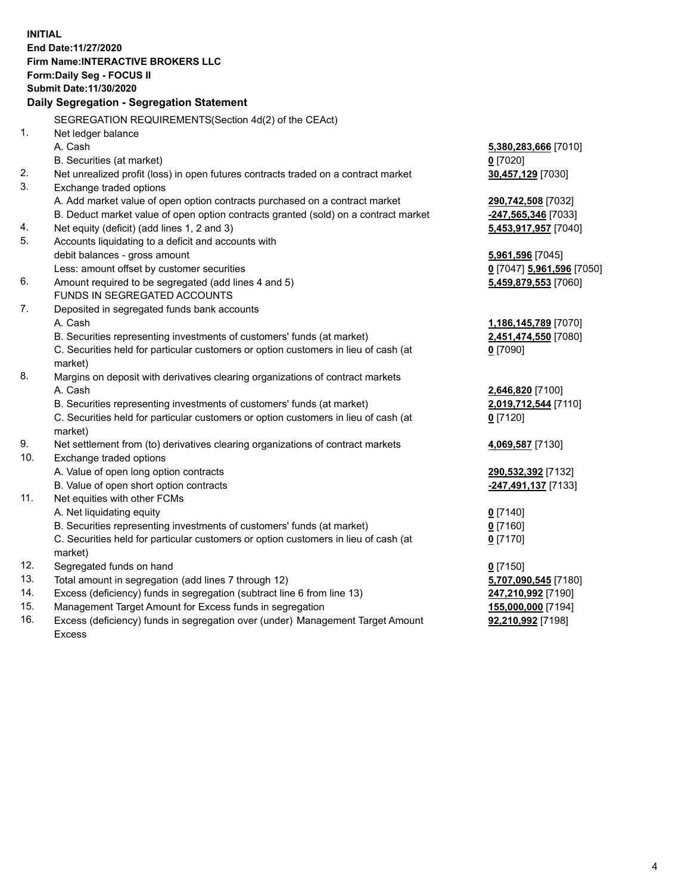**INITIAL End Date:11/27/2020 Firm Name:INTERACTIVE BROKERS LLC Form:Daily Seg - FOCUS II Submit Date:11/30/2020 Daily Segregation - Segregation Statement** SEGREGATION REQUIREMENTS(Section 4d(2) of the CEAct) 1. Net ledger balance A. Cash **5,380,283,666** [7010] B. Securities (at market) **0** [7020] 2. Net unrealized profit (loss) in open futures contracts traded on a contract market **30,457,129** [7030] 3. Exchange traded options A. Add market value of open option contracts purchased on a contract market **290,742,508** [7032] B. Deduct market value of open option contracts granted (sold) on a contract market **-247,565,346** [7033] 4. Net equity (deficit) (add lines 1, 2 and 3) **5,453,917,957** [7040] 5. Accounts liquidating to a deficit and accounts with debit balances - gross amount **5,961,596** [7045] Less: amount offset by customer securities **0** [7047] **5,961,596** [7050] 6. Amount required to be segregated (add lines 4 and 5) **5,459,879,553** [7060] FUNDS IN SEGREGATED ACCOUNTS 7. Deposited in segregated funds bank accounts A. Cash **1,186,145,789** [7070] B. Securities representing investments of customers' funds (at market) **2,451,474,550** [7080] C. Securities held for particular customers or option customers in lieu of cash (at market) **0** [7090] 8. Margins on deposit with derivatives clearing organizations of contract markets A. Cash **2,646,820** [7100] B. Securities representing investments of customers' funds (at market) **2,019,712,544** [7110] C. Securities held for particular customers or option customers in lieu of cash (at market) **0** [7120] 9. Net settlement from (to) derivatives clearing organizations of contract markets **4,069,587** [7130] 10. Exchange traded options A. Value of open long option contracts **290,532,392** [7132] B. Value of open short option contracts **-247,491,137** [7133] 11. Net equities with other FCMs A. Net liquidating equity **0** [7140] B. Securities representing investments of customers' funds (at market) **0** [7160] C. Securities held for particular customers or option customers in lieu of cash (at market) **0** [7170] 12. Segregated funds on hand **0** [7150] 13. Total amount in segregation (add lines 7 through 12) **5,707,090,545** [7180] 14. Excess (deficiency) funds in segregation (subtract line 6 from line 13) **247,210,992** [7190] 15. Management Target Amount for Excess funds in segregation **155,000,000** [7194] 16. Excess (deficiency) funds in segregation over (under) Management Target Amount **92,210,992** [7198]

Excess